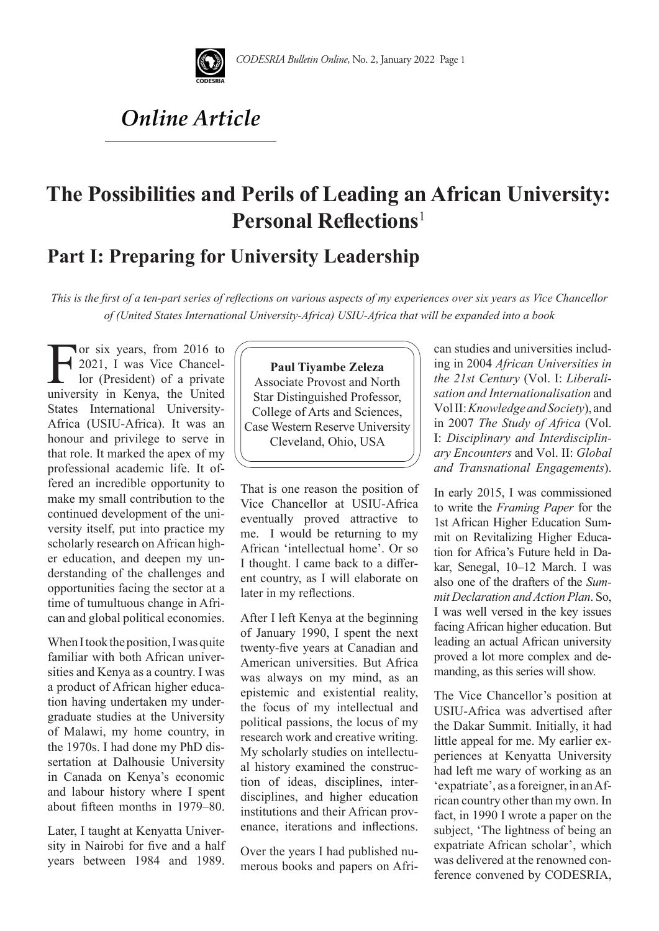

# *Online Article*

# **The Possibilities and Perils of Leading an African University: Personal Reflections**<sup>1</sup>

## **Part I: Preparing for University Leadership**

*This is the first of a ten-part series of reflections on various aspects of my experiences over six years as Vice Chancellor of (United States International University-Africa) USIU-Africa that will be expanded into a book*

For six years, from 2016 to<br>2021, I was Vice Chancellor (President) of a private<br>university in Kenya, the United 2021, I was Vice Chancellor (President) of a private university in Kenya, the United States International University-Africa (USIU-Africa). It was an honour and privilege to serve in that role. It marked the apex of my professional academic life. It offered an incredible opportunity to make my small contribution to the continued development of the university itself, put into practice my scholarly research on African higher education, and deepen my understanding of the challenges and opportunities facing the sector at a time of tumultuous change in African and global political economies.

When I took the position, I was quite familiar with both African universities and Kenya as a country. I was a product of African higher education having undertaken my undergraduate studies at the University of Malawi, my home country, in the 1970s. I had done my PhD dissertation at Dalhousie University in Canada on Kenya's economic and labour history where I spent about fifteen months in 1979–80.

Later, I taught at Kenyatta University in Nairobi for five and a half years between 1984 and 1989.

**Paul Tiyambe Zeleza**  Associate Provost and North Star Distinguished Professor, College of Arts and Sciences, Case Western Reserve University Cleveland, Ohio, USA

That is one reason the position of Vice Chancellor at USIU-Africa eventually proved attractive to me. I would be returning to my African 'intellectual home'. Or so I thought. I came back to a different country, as I will elaborate on later in my reflections.

After I left Kenya at the beginning of January 1990, I spent the next twenty-five years at Canadian and American universities. But Africa was always on my mind, as an epistemic and existential reality, the focus of my intellectual and political passions, the locus of my research work and creative writing. My scholarly studies on intellectual history examined the construction of ideas, disciplines, interdisciplines, and higher education institutions and their African provenance, iterations and inflections.

Over the years I had published numerous books and papers on African studies and universities including in 2004 *African Universities in the 21st Century* (Vol. I: *Liberalisation and Internationalisation* and Vol II:*Knowledge and Society*), and in 2007 *The Study of Africa* (Vol. I: *Disciplinary and Interdisciplinary Encounters* and Vol. II: *Global and Transnational Engagements*).

In early 2015, I was commissioned to write the *Framing Paper* for the 1st African Higher Education Summit on Revitalizing Higher Education for Africa's Future held in Dakar, Senegal, 10–12 March. I was also one of the drafters of the *Summit Declaration and Action Plan*. So, I was well versed in the key issues facing African higher education. But leading an actual African university proved a lot more complex and demanding, as this series will show.

The Vice Chancellor's position at USIU-Africa was advertised after the Dakar Summit. Initially, it had little appeal for me. My earlier experiences at Kenyatta University had left me wary of working as an 'expatriate', as a foreigner, in an African country other than my own. In fact, in 1990 I wrote a paper on the subject, 'The lightness of being an expatriate African scholar', which was delivered at the renowned conference convened by CODESRIA,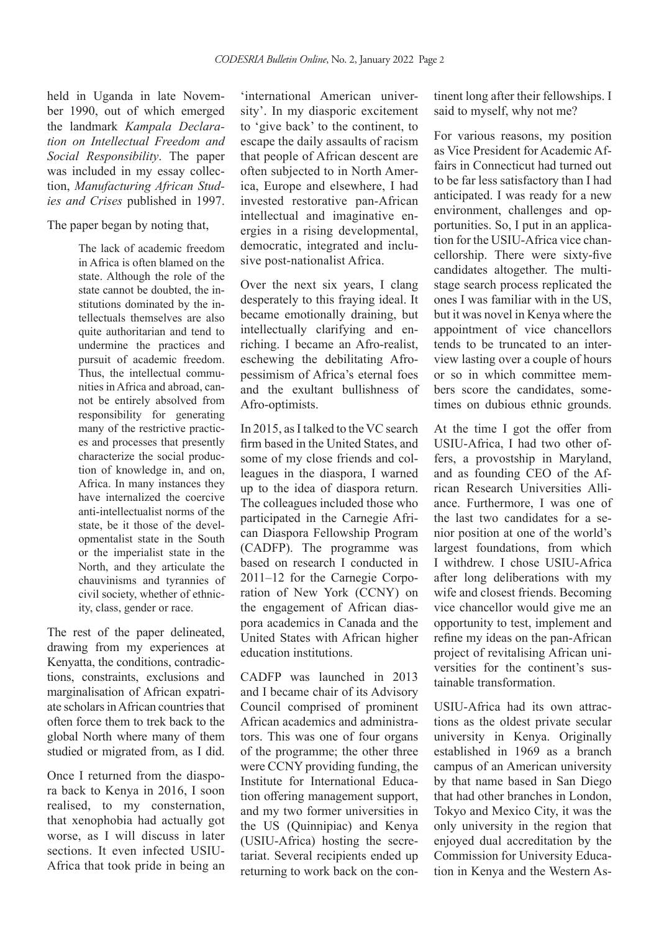held in Uganda in late November 1990, out of which emerged the landmark *Kampala Declaration on Intellectual Freedom and Social Responsibility*. The paper was included in my essay collection, *Manufacturing African Studies and Crises* published in 1997.

The paper began by noting that,

The lack of academic freedom in Africa is often blamed on the state. Although the role of the state cannot be doubted, the institutions dominated by the intellectuals themselves are also quite authoritarian and tend to undermine the practices and pursuit of academic freedom. Thus, the intellectual communities in Africa and abroad, cannot be entirely absolved from responsibility for generating many of the restrictive practices and processes that presently characterize the social production of knowledge in, and on, Africa. In many instances they have internalized the coercive anti-intellectualist norms of the state, be it those of the developmentalist state in the South or the imperialist state in the North, and they articulate the chauvinisms and tyrannies of civil society, whether of ethnicity, class, gender or race.

The rest of the paper delineated, drawing from my experiences at Kenyatta, the conditions, contradictions, constraints, exclusions and marginalisation of African expatriate scholars in African countries that often force them to trek back to the global North where many of them studied or migrated from, as I did.

Once I returned from the diaspora back to Kenya in 2016, I soon realised, to my consternation, that xenophobia had actually got worse, as I will discuss in later sections. It even infected USIU-Africa that took pride in being an 'international American university'. In my diasporic excitement to 'give back' to the continent, to escape the daily assaults of racism that people of African descent are often subjected to in North America, Europe and elsewhere, I had invested restorative pan-African intellectual and imaginative energies in a rising developmental, democratic, integrated and inclusive post-nationalist Africa.

Over the next six years, I clang desperately to this fraying ideal. It became emotionally draining, but intellectually clarifying and enriching. I became an Afro-realist, eschewing the debilitating Afropessimism of Africa's eternal foes and the exultant bullishness of Afro-optimists.

In 2015, as I talked to the VC search firm based in the United States, and some of my close friends and colleagues in the diaspora, I warned up to the idea of diaspora return. The colleagues included those who participated in the Carnegie African Diaspora Fellowship Program (CADFP). The programme was based on research I conducted in 2011–12 for the Carnegie Corporation of New York (CCNY) on the engagement of African diaspora academics in Canada and the United States with African higher education institutions.

CADFP was launched in 2013 and I became chair of its Advisory Council comprised of prominent African academics and administrators. This was one of four organs of the programme; the other three were CCNY providing funding, the Institute for International Education offering management support, and my two former universities in the US (Quinnipiac) and Kenya (USIU-Africa) hosting the secretariat. Several recipients ended up returning to work back on the continent long after their fellowships. I said to myself, why not me?

For various reasons, my position as Vice President for Academic Affairs in Connecticut had turned out to be far less satisfactory than I had anticipated. I was ready for a new environment, challenges and opportunities. So, I put in an application for the USIU-Africa vice chancellorship. There were sixty-five candidates altogether. The multistage search process replicated the ones I was familiar with in the US, but it was novel in Kenya where the appointment of vice chancellors tends to be truncated to an interview lasting over a couple of hours or so in which committee members score the candidates, sometimes on dubious ethnic grounds.

At the time I got the offer from USIU-Africa, I had two other offers, a provostship in Maryland, and as founding CEO of the African Research Universities Alliance. Furthermore, I was one of the last two candidates for a senior position at one of the world's largest foundations, from which I withdrew. I chose USIU-Africa after long deliberations with my wife and closest friends. Becoming vice chancellor would give me an opportunity to test, implement and refine my ideas on the pan-African project of revitalising African universities for the continent's sustainable transformation.

USIU-Africa had its own attractions as the oldest private secular university in Kenya. Originally established in 1969 as a branch campus of an American university by that name based in San Diego that had other branches in London, Tokyo and Mexico City, it was the only university in the region that enjoyed dual accreditation by the Commission for University Education in Kenya and the Western As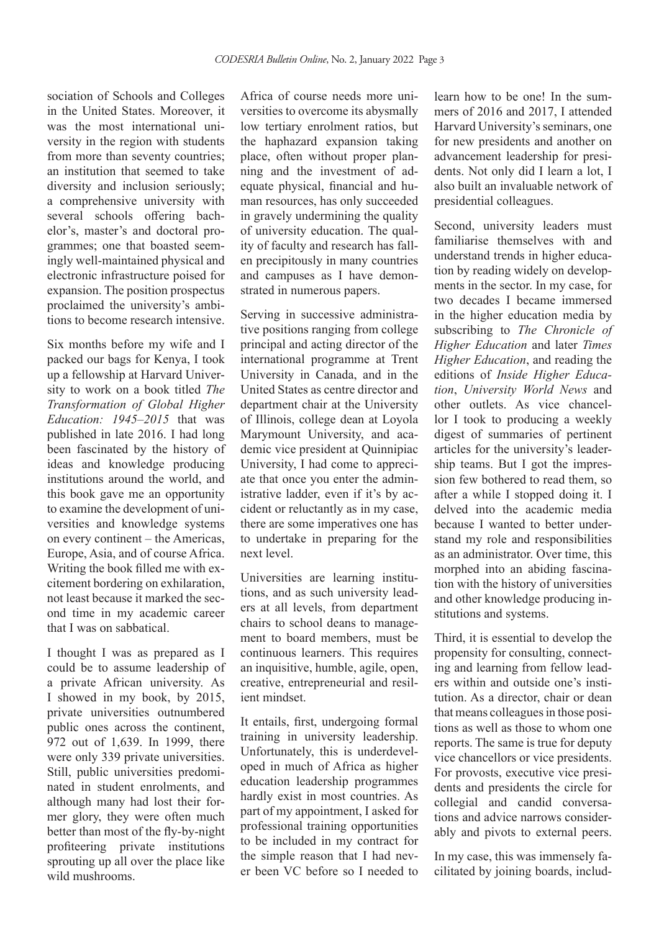sociation of Schools and Colleges in the United States. Moreover, it was the most international university in the region with students from more than seventy countries; an institution that seemed to take diversity and inclusion seriously; a comprehensive university with several schools offering bachelor's, master's and doctoral programmes; one that boasted seemingly well-maintained physical and electronic infrastructure poised for expansion. The position prospectus proclaimed the university's ambitions to become research intensive.

Six months before my wife and I packed our bags for Kenya, I took up a fellowship at Harvard University to work on a book titled *The Transformation of Global Higher Education: 1945–2015* that was published in late 2016. I had long been fascinated by the history of ideas and knowledge producing institutions around the world, and this book gave me an opportunity to examine the development of universities and knowledge systems on every continent *–* the Americas, Europe, Asia, and of course Africa. Writing the book filled me with excitement bordering on exhilaration, not least because it marked the second time in my academic career that I was on sabbatical.

I thought I was as prepared as I could be to assume leadership of a private African university. As I showed in my book, by 2015, private universities outnumbered public ones across the continent, 972 out of 1,639. In 1999, there were only 339 private universities. Still, public universities predominated in student enrolments, and although many had lost their former glory, they were often much better than most of the fly-by-night profiteering private institutions sprouting up all over the place like wild mushrooms.

Africa of course needs more universities to overcome its abysmally low tertiary enrolment ratios, but the haphazard expansion taking place, often without proper planning and the investment of adequate physical, financial and human resources, has only succeeded in gravely undermining the quality of university education. The quality of faculty and research has fallen precipitously in many countries and campuses as I have demonstrated in numerous papers.

Serving in successive administrative positions ranging from college principal and acting director of the international programme at Trent University in Canada, and in the United States as centre director and department chair at the University of Illinois, college dean at Loyola Marymount University, and academic vice president at Quinnipiac University, I had come to appreciate that once you enter the administrative ladder, even if it's by accident or reluctantly as in my case, there are some imperatives one has to undertake in preparing for the next level.

Universities are learning institutions, and as such university leaders at all levels, from department chairs to school deans to management to board members, must be continuous learners. This requires an inquisitive, humble, agile, open, creative, entrepreneurial and resilient mindset.

It entails, first, undergoing formal training in university leadership. Unfortunately, this is underdeveloped in much of Africa as higher education leadership programmes hardly exist in most countries. As part of my appointment, I asked for professional training opportunities to be included in my contract for the simple reason that I had never been VC before so I needed to learn how to be one! In the summers of 2016 and 2017, I attended Harvard University's seminars, one for new presidents and another on advancement leadership for presidents. Not only did I learn a lot, I also built an invaluable network of presidential colleagues.

Second, university leaders must familiarise themselves with and understand trends in higher education by reading widely on developments in the sector. In my case, for two decades I became immersed in the higher education media by subscribing to *The Chronicle of Higher Education* and later *Times Higher Education*, and reading the editions of *Inside Higher Education*, *University World News* and other outlets. As vice chancellor I took to producing a weekly digest of summaries of pertinent articles for the university's leadership teams. But I got the impression few bothered to read them, so after a while I stopped doing it. I delved into the academic media because I wanted to better understand my role and responsibilities as an administrator. Over time, this morphed into an abiding fascination with the history of universities and other knowledge producing institutions and systems.

Third, it is essential to develop the propensity for consulting, connecting and learning from fellow leaders within and outside one's institution. As a director, chair or dean that means colleagues in those positions as well as those to whom one reports. The same is true for deputy vice chancellors or vice presidents. For provosts, executive vice presidents and presidents the circle for collegial and candid conversations and advice narrows considerably and pivots to external peers.

In my case, this was immensely facilitated by joining boards, includ-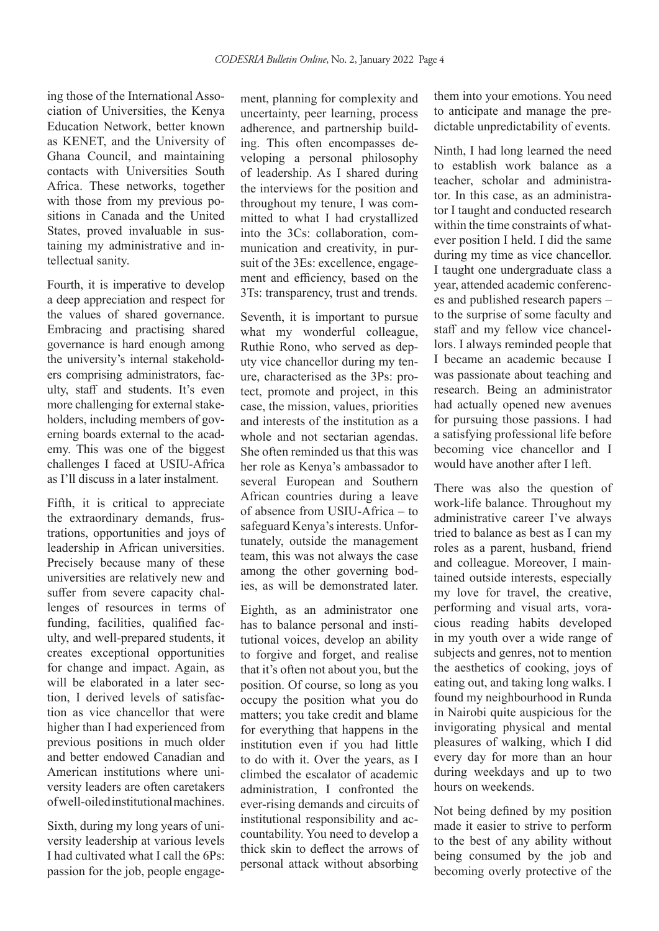ing those of the International Association of Universities, the Kenya Education Network, better known as KENET, and the University of Ghana Council, and maintaining contacts with Universities South Africa. These networks, together with those from my previous positions in Canada and the United States, proved invaluable in sustaining my administrative and intellectual sanity.

Fourth, it is imperative to develop a deep appreciation and respect for the values of shared governance. Embracing and practising shared governance is hard enough among the university's internal stakeholders comprising administrators, faculty, staff and students. It's even more challenging for external stakeholders, including members of governing boards external to the academy. This was one of the biggest challenges I faced at USIU-Africa as I'll discuss in a later instalment.

Fifth, it is critical to appreciate the extraordinary demands, frustrations, opportunities and joys of leadership in African universities. Precisely because many of these universities are relatively new and suffer from severe capacity challenges of resources in terms of funding, facilities, qualified faculty, and well-prepared students, it creates exceptional opportunities for change and impact. Again, as will be elaborated in a later section, I derived levels of satisfaction as vice chancellor that were higher than I had experienced from previous positions in much older and better endowed Canadian and American institutions where university leaders are often caretakers of well-oiled institutional machines.

Sixth, during my long years of university leadership at various levels I had cultivated what I call the 6Ps: passion for the job, people engage-

ment, planning for complexity and uncertainty, peer learning, process adherence, and partnership building. This often encompasses developing a personal philosophy of leadership. As I shared during the interviews for the position and throughout my tenure, I was committed to what I had crystallized into the 3Cs: collaboration, communication and creativity, in pursuit of the 3Es: excellence, engagement and efficiency, based on the 3Ts: transparency, trust and trends.

Seventh, it is important to pursue what my wonderful colleague, Ruthie Rono, who served as deputy vice chancellor during my tenure, characterised as the 3Ps: protect, promote and project, in this case, the mission, values, priorities and interests of the institution as a whole and not sectarian agendas. She often reminded us that this was her role as Kenya's ambassador to several European and Southern African countries during a leave of absence from USIU-Africa – to safeguard Kenya's interests. Unfortunately, outside the management team, this was not always the case among the other governing bodies, as will be demonstrated later.

Eighth, as an administrator one has to balance personal and institutional voices, develop an ability to forgive and forget, and realise that it's often not about you, but the position. Of course, so long as you occupy the position what you do matters; you take credit and blame for everything that happens in the institution even if you had little to do with it. Over the years, as I climbed the escalator of academic administration, I confronted the ever-rising demands and circuits of institutional responsibility and accountability. You need to develop a thick skin to deflect the arrows of personal attack without absorbing

them into your emotions. You need to anticipate and manage the predictable unpredictability of events.

Ninth, I had long learned the need to establish work balance as a teacher, scholar and administrator. In this case, as an administrator I taught and conducted research within the time constraints of whatever position I held. I did the same during my time as vice chancellor. I taught one undergraduate class a year, attended academic conferences and published research papers – to the surprise of some faculty and staff and my fellow vice chancellors. I always reminded people that I became an academic because I was passionate about teaching and research. Being an administrator had actually opened new avenues for pursuing those passions. I had a satisfying professional life before becoming vice chancellor and I would have another after I left.

There was also the question of work-life balance. Throughout my administrative career I've always tried to balance as best as I can my roles as a parent, husband, friend and colleague. Moreover, I maintained outside interests, especially my love for travel, the creative, performing and visual arts, voracious reading habits developed in my youth over a wide range of subjects and genres, not to mention the aesthetics of cooking, joys of eating out, and taking long walks. I found my neighbourhood in Runda in Nairobi quite auspicious for the invigorating physical and mental pleasures of walking, which I did every day for more than an hour during weekdays and up to two hours on weekends.

Not being defined by my position made it easier to strive to perform to the best of any ability without being consumed by the job and becoming overly protective of the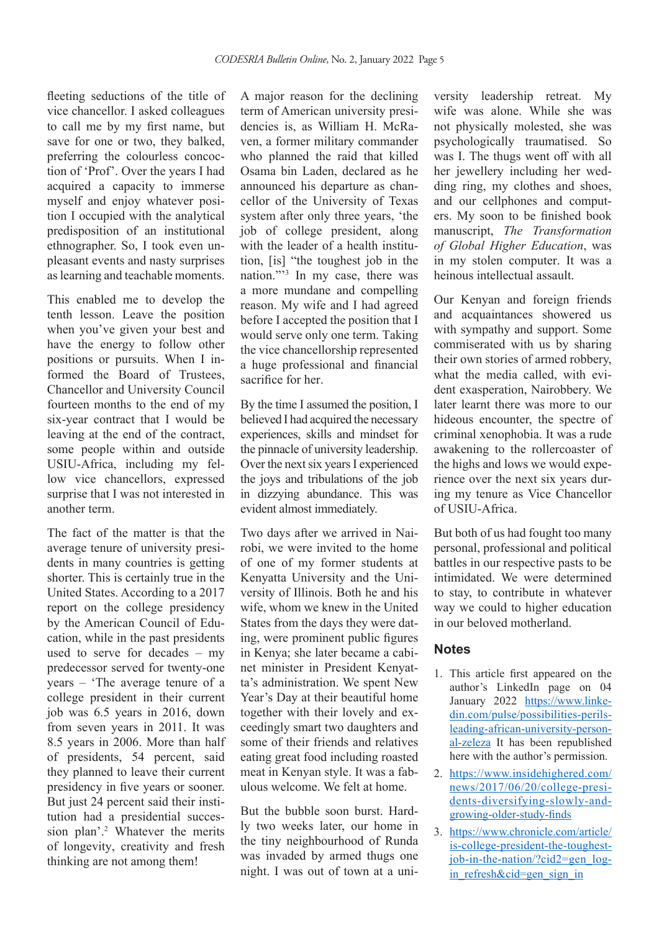fleeting seductions of the title of vice chancellor. I asked colleagues to call me by my first name, but save for one or two, they balked, preferring the colourless concoction of 'Prof'. Over the years I had acquired a capacity to immerse myself and enjoy whatever position I occupied with the analytical predisposition of an institutional ethnographer. So, I took even unpleasant events and nasty surprises as learning and teachable moments.

This enabled me to develop the tenth lesson. Leave the position when you've given your best and have the energy to follow other positions or pursuits. When I informed the Board of Trustees, Chancellor and University Council fourteen months to the end of my six-year contract that I would be leaving at the end of the contract, some people within and outside USIU-Africa, including my fellow vice chancellors, expressed surprise that I was not interested in another term.

The fact of the matter is that the average tenure of university presidents in many countries is getting shorter. This is certainly true in the United States. According to a 2017 report on the college presidency by the American Council of Education, while in the past presidents used to serve for decades *–* my predecessor served for twenty-one years *–* 'The average tenure of a college president in their current job was 6.5 years in 2016, down from seven years in 2011. It was 8.5 years in 2006. More than half of presidents, 54 percent, said they planned to leave their current presidency in five years or sooner. But just 24 percent said their institution had a presidential succession plan'.<sup>2</sup> Whatever the merits of longevity, creativity and fresh thinking are not among them!

A major reason for the declining term of American university presidencies is, as William H. McRaven, a former military commander who planned the raid that killed Osama bin Laden, declared as he announced his departure as chancellor of the University of Texas system after only three years, 'the job of college president, along with the leader of a health institution, [is] "the toughest job in the nation."'3 In my case, there was a more mundane and compelling reason. My wife and I had agreed before I accepted the position that I would serve only one term. Taking the vice chancellorship represented a huge professional and financial sacrifice for her.

By the time I assumed the position, I believed I had acquired the necessary experiences, skills and mindset for the pinnacle of university leadership. Over the next six years I experienced the joys and tribulations of the job in dizzying abundance. This was evident almost immediately.

Two days after we arrived in Nairobi, we were invited to the home of one of my former students at Kenyatta University and the University of Illinois. Both he and his wife, whom we knew in the United States from the days they were dating, were prominent public figures in Kenya; she later became a cabinet minister in President Kenyatta's administration. We spent New Year's Day at their beautiful home together with their lovely and exceedingly smart two daughters and some of their friends and relatives eating great food including roasted meat in Kenyan style. It was a fabulous welcome. We felt at home.

But the bubble soon burst. Hardly two weeks later, our home in the tiny neighbourhood of Runda was invaded by armed thugs one night. I was out of town at a university leadership retreat. My wife was alone. While she was not physically molested, she was psychologically traumatised. So was I. The thugs went off with all her jewellery including her wedding ring, my clothes and shoes, and our cellphones and computers. My soon to be finished book manuscript, *The Transformation of Global Higher Education*, was in my stolen computer. It was a heinous intellectual assault.

Our Kenyan and foreign friends and acquaintances showered us with sympathy and support. Some commiserated with us by sharing their own stories of armed robbery, what the media called, with evident exasperation, Nairobbery. We later learnt there was more to our hideous encounter, the spectre of criminal xenophobia. It was a rude awakening to the rollercoaster of the highs and lows we would experience over the next six years during my tenure as Vice Chancellor of USIU-Africa.

But both of us had fought too many personal, professional and political battles in our respective pasts to be intimidated. We were determined to stay, to contribute in whatever way we could to higher education in our beloved motherland.

### **Notes**

- 1. This article first appeared on the author's LinkedIn page on 04 January 2022 https://www.linkedin.com/pulse/possibilities-perilsleading-african-university-personal-zeleza It has been republished here with the author's permission.
- 2. https://www.insidehighered.com/ news/2017/06/20/college-presidents-diversifying-slowly-andgrowing-older-study-finds
- 3. https://www.chronicle.com/article/ is-college-president-the-toughestjob-in-the-nation/?cid2=gen\_login refresh&cid=gen sign in